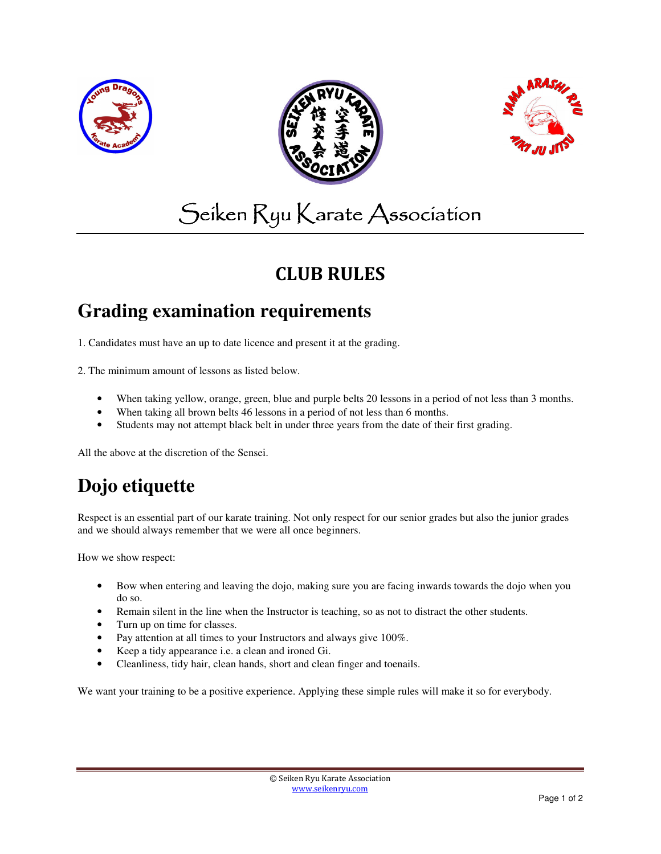





# Seiken Ryu Karate Association

## CLUB RULES

#### **Grading examination requirements**

1. Candidates must have an up to date licence and present it at the grading.

2. The minimum amount of lessons as listed below.

- When taking yellow, orange, green, blue and purple belts 20 lessons in a period of not less than 3 months.
- When taking all brown belts 46 lessons in a period of not less than 6 months.
- Students may not attempt black belt in under three years from the date of their first grading.

All the above at the discretion of the Sensei.

# **Dojo etiquette**

Respect is an essential part of our karate training. Not only respect for our senior grades but also the junior grades and we should always remember that we were all once beginners.

How we show respect:

- Bow when entering and leaving the dojo, making sure you are facing inwards towards the dojo when you do so.
- Remain silent in the line when the Instructor is teaching, so as not to distract the other students.
- Turn up on time for classes.
- Pay attention at all times to your Instructors and always give 100%.
- Keep a tidy appearance i.e. a clean and ironed Gi.
- Cleanliness, tidy hair, clean hands, short and clean finger and toenails.

We want your training to be a positive experience. Applying these simple rules will make it so for everybody.